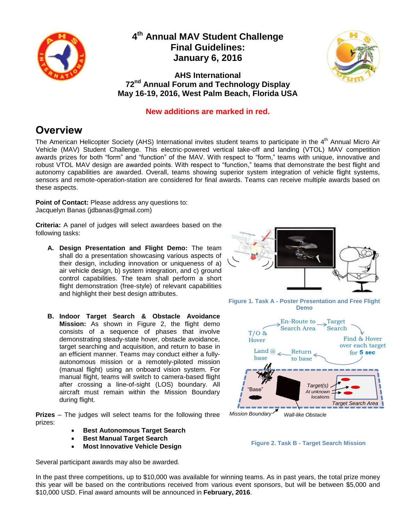

### **4 th Annual MAV Student Challenge Final Guidelines: January 6, 2016**



**AHS International 72 nd Annual Forum and Technology Display May 16-19, 2016, West Palm Beach, Florida USA**

#### **New additions are marked in red.**

## **Overview**

The American Helicopter Society (AHS) International invites student teams to participate in the 4<sup>th</sup> Annual Micro Air Vehicle (MAV) Student Challenge. This electric-powered vertical take-off and landing (VTOL) MAV competition awards prizes for both "form" and "function" of the MAV. With respect to "form," teams with unique, innovative and robust VTOL MAV design are awarded points. With respect to "function," teams that demonstrate the best flight and autonomy capabilities are awarded. Overall, teams showing superior system integration of vehicle flight systems, sensors and remote-operation-station are considered for final awards. Teams can receive multiple awards based on these aspects.

**Point of Contact:** Please address any questions to: Jacquelyn Banas (jdbanas@gmail.com)

**Criteria:** A panel of judges will select awardees based on the following tasks:

- **A. Design Presentation and Flight Demo:** The team shall do a presentation showcasing various aspects of their design, including innovation or uniqueness of a) air vehicle design, b) system integration, and c) ground control capabilities. The team shall perform a short flight demonstration (free-style) of relevant capabilities and highlight their best design attributes.
- **B. Indoor Target Search & Obstacle Avoidance Mission:** As shown in [Figure 2,](#page-0-0) the flight demo consists of a sequence of phases that involve demonstrating steady-state hover, obstacle avoidance, target searching and acquisition, and return to base in an efficient manner. Teams may conduct either a fullyautonomous mission or a remotely-piloted mission (manual flight) using an onboard vision system. For manual flight, teams will switch to camera-based flight after crossing a line-of-sight (LOS) boundary. All aircraft must remain within the Mission Boundary during flight.

**Prizes** – The judges will select teams for the following three prizes:

- **Best Autonomous Target Search**
- **Best Manual Target Search**
- **Most Innovative Vehicle Design**

Several participant awards may also be awarded.



**Figure 1. Task A - Poster Presentation and Free Flight Demo**



<span id="page-0-0"></span>

In the past three competitions, up to \$10,000 was available for winning teams. As in past years, the total prize money this year will be based on the contributions received from various event sponsors, but will be between \$5,000 and \$10,000 USD. Final award amounts will be announced in **February, 2016**.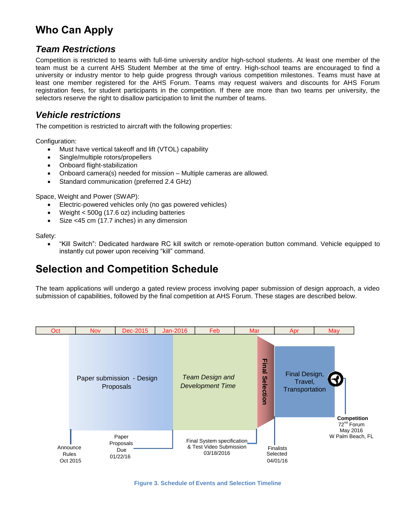# **Who Can Apply**

#### *Team Restrictions*

Competition is restricted to teams with full-time university and/or high-school students. At least one member of the team must be a current AHS Student Member at the time of entry. High-school teams are encouraged to find a university or industry mentor to help guide progress through various competition milestones. Teams must have at least one member registered for the AHS Forum. Teams may request waivers and discounts for AHS Forum registration fees, for student participants in the competition. If there are more than two teams per university, the selectors reserve the right to disallow participation to limit the number of teams.

#### *Vehicle restrictions*

The competition is restricted to aircraft with the following properties:

Configuration:

- Must have vertical takeoff and lift (VTOL) capability
- Single/multiple rotors/propellers
- Onboard flight-stabilization
- Onboard camera(s) needed for mission Multiple cameras are allowed.
- Standard communication (preferred 2.4 GHz)

Space, Weight and Power (SWAP):

- Electric-powered vehicles only (no gas powered vehicles)
- Weight < 500g (17.6 oz) including batteries
- Size <45 cm (17.7 inches) in any dimension

Safety:

 "Kill Switch": Dedicated hardware RC kill switch or remote-operation button command. Vehicle equipped to instantly cut power upon receiving "kill" command.

## **Selection and Competition Schedule**

The team applications will undergo a gated review process involving paper submission of design approach, a video submission of capabilities, followed by the final competition at AHS Forum. These stages are described below.

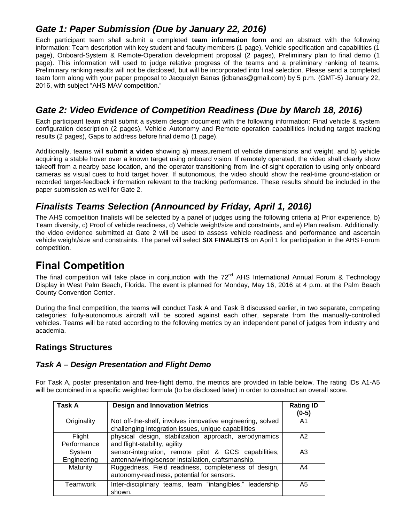### *Gate 1: Paper Submission (Due by January 22, 2016)*

Each participant team shall submit a completed **team information form** and an abstract with the following information: Team description with key student and faculty members (1 page), Vehicle specification and capabilities (1 page), Onboard-System & Remote-Operation development proposal (2 pages), Preliminary plan to final demo (1 page). This information will used to judge relative progress of the teams and a preliminary ranking of teams. Preliminary ranking results will not be disclosed, but will be incorporated into final selection. Please send a completed team form along with your paper proposal to Jacquelyn Banas (jdbanas@gmail.com) by 5 p.m. (GMT-5) January 22, 2016, with subject "AHS MAV competition."

### *Gate 2: Video Evidence of Competition Readiness (Due by March 18, 2016)*

Each participant team shall submit a system design document with the following information: Final vehicle & system configuration description (2 pages), Vehicle Autonomy and Remote operation capabilities including target tracking results (2 pages), Gaps to address before final demo (1 page).

Additionally, teams will **submit a video** showing a) measurement of vehicle dimensions and weight, and b) vehicle acquiring a stable hover over a known target using onboard vision. If remotely operated, the video shall clearly show takeoff from a nearby base location, and the operator transitioning from line-of-sight operation to using only onboard cameras as visual cues to hold target hover. If autonomous, the video should show the real-time ground-station or recorded target-feedback information relevant to the tracking performance. These results should be included in the paper submission as well for Gate 2.

### *Finalists Teams Selection (Announced by Friday, April 1, 2016)*

The AHS competition finalists will be selected by a panel of judges using the following criteria a) Prior experience, b) Team diversity, c) Proof of vehicle readiness, d) Vehicle weight/size and constraints, and e) Plan realism. Additionally, the video evidence submitted at Gate 2 will be used to assess vehicle readiness and performance and ascertain vehicle weight/size and constraints. The panel will select **SIX FINALISTS** on April 1 for participation in the AHS Forum competition.

## **Final Competition**

The final competition will take place in conjunction with the 72<sup>nd</sup> AHS International Annual Forum & Technology Display in West Palm Beach, Florida. The event is planned for Monday, May 16, 2016 at 4 p.m. at the Palm Beach County Convention Center.

During the final competition, the teams will conduct Task A and Task B discussed earlier, in two separate, competing categories: fully-autonomous aircraft will be scored against each other, separate from the manually-controlled vehicles. Teams will be rated according to the following metrics by an independent panel of judges from industry and academia.

#### **Ratings Structures**

#### *Task A – Design Presentation and Flight Demo*

For Task A, poster presentation and free-flight demo, the metrics are provided in table below. The rating IDs A1-A5 will be combined in a specific weighted formula (to be disclosed later) in order to construct an overall score.

| Task A                | <b>Design and Innovation Metrics</b>                                                                              | <b>Rating ID</b><br>$(0-5)$ |
|-----------------------|-------------------------------------------------------------------------------------------------------------------|-----------------------------|
| Originality           | Not off-the-shelf, involves innovative engineering, solved<br>challenging integration issues, unique capabilities | A <sub>1</sub>              |
| Flight<br>Performance | physical design, stabilization approach, aerodynamics<br>and flight-stability, agility                            | A2                          |
| System<br>Engineering | sensor-integration, remote pilot & GCS capabilities;<br>antenna/wiring/sensor installation, craftsmanship.        | A <sub>3</sub>              |
| Maturity              | Ruggedness, Field readiness, completeness of design,<br>autonomy-readiness, potential for sensors.                | A4                          |
| Teamwork              | Inter-disciplinary teams, team "intangibles," leadership<br>shown.                                                | A5                          |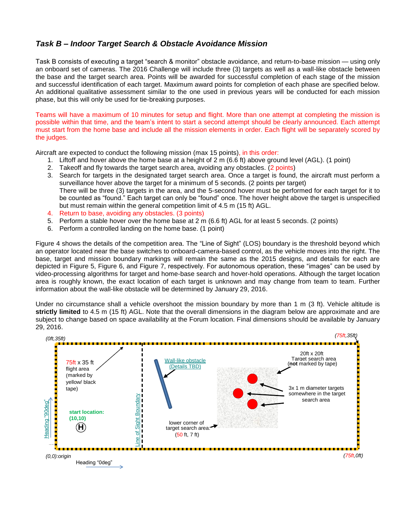#### *Task B – Indoor Target Search & Obstacle Avoidance Mission*

Task B consists of executing a target "search & monitor" obstacle avoidance, and return-to-base mission — using only an onboard set of cameras. The 2016 Challenge will include three (3) targets as well as a wall-like obstacle between the base and the target search area. Points will be awarded for successful completion of each stage of the mission and successful identification of each target. Maximum award points for completion of each phase are specified below. An additional qualitative assessment similar to the one used in previous years will be conducted for each mission phase, but this will only be used for tie-breaking purposes.

Teams will have a maximum of 10 minutes for setup and flight. More than one attempt at completing the mission is possible within that time, and the team's intent to start a second attempt should be clearly announced. Each attempt must start from the home base and include all the mission elements in order. Each flight will be separately scored by the judges.

Aircraft are expected to conduct the following mission (max 15 points), in this order:

- 1. Liftoff and hover above the home base at a height of 2 m (6.6 ft) above ground level (AGL). (1 point)
- 2. Takeoff and fly towards the target search area, avoiding any obstacles. (2 points)
- 3. Search for targets in the designated target search area. Once a target is found, the aircraft must perform a surveillance hover above the target for a minimum of 5 seconds. (2 points per target) There will be three (3) targets in the area, and the 5-second hover must be performed for each target for it to be counted as "found." Each target can only be "found" once. The hover height above the target is unspecified but must remain within the general competition limit of 4.5 m (15 ft) AGL.
- 4. Return to base, avoiding any obstacles. (3 points)
- 5. Perform a stable hover over the home base at 2 m (6.6 ft) AGL for at least 5 seconds. (2 points)
- 6. Perform a controlled landing on the home base. (1 point)

[Figure 4](#page-4-0) shows the details of the competition area. The "Line of Sight" (LOS) boundary is the threshold beyond which an operator located near the base switches to onboard-camera-based control, as the vehicle moves into the right. The base, target and mission boundary markings will remain the same as the 2015 designs, and details for each are depicted in [Figure 5,](#page-4-1) [Figure 6,](#page-4-2) and [Figure 7,](#page-4-3) respectively. For autonomous operation, these "images" can be used by video-processing algorithms for target and home-base search and hover-hold operations. Although the target location area is roughly known, the exact location of each target is unknown and may change from team to team. Further information about the wall-like obstacle will be determined by January 29, 2016.

Under no circumstance shall a vehicle overshoot the mission boundary by more than 1 m (3 ft). Vehicle altitude is **strictly limited** to 4.5 m (15 ft) AGL. Note that the overall dimensions in the diagram below are approximate and are subject to change based on space availability at the Forum location. Final dimensions should be available by January 29, 2016.

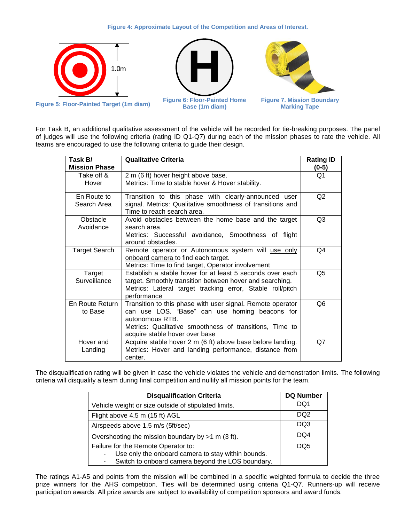#### <span id="page-4-3"></span><span id="page-4-2"></span>**Figure 4: Approximate Layout of the Competition and Areas of Interest.**

<span id="page-4-0"></span>

<span id="page-4-1"></span>For Task B, an additional qualitative assessment of the vehicle will be recorded for tie-breaking purposes. The panel of judges will use the following criteria (rating ID Q1-Q7) during each of the mission phases to rate the vehicle. All teams are encouraged to use the following criteria to guide their design.

| Task B/<br><b>Mission Phase</b> | <b>Qualitative Criteria</b>                                                                                     | <b>Rating ID</b><br>$(0-5)$ |
|---------------------------------|-----------------------------------------------------------------------------------------------------------------|-----------------------------|
| Take off &<br>Hover             | 2 m (6 ft) hover height above base.                                                                             | Q1                          |
|                                 | Metrics: Time to stable hover & Hover stability.                                                                |                             |
| En Route to                     | Transition to this phase with clearly-announced user                                                            | Q2                          |
| Search Area                     | signal. Metrics: Qualitative smoothness of transitions and<br>Time to reach search area.                        |                             |
| Obstacle                        | Avoid obstacles between the home base and the target                                                            | Q3                          |
| Avoidance                       | search area.                                                                                                    |                             |
|                                 | Metrics: Successful avoidance, Smoothness of flight<br>around obstacles.                                        |                             |
| <b>Target Search</b>            | Remote operator or Autonomous system will use only                                                              | Q4                          |
|                                 | onboard camera to find each target.                                                                             |                             |
| Target                          | Metrics: Time to find target, Operator involvement<br>Establish a stable hover for at least 5 seconds over each | O5                          |
| Surveillance                    | target. Smoothly transition between hover and searching.                                                        |                             |
|                                 | Metrics: Lateral target tracking error, Stable roll/pitch                                                       |                             |
|                                 | performance                                                                                                     |                             |
| En Route Return                 | Transition to this phase with user signal. Remote operator                                                      | Q6                          |
| to Base                         | can use LOS. "Base" can use homing beacons for                                                                  |                             |
|                                 | autonomous RTB.                                                                                                 |                             |
|                                 | Metrics: Qualitative smoothness of transitions, Time to<br>acquire stable hover over base                       |                             |
| Hover and                       | Acquire stable hover 2 m (6 ft) above base before landing.                                                      | Q7                          |
| Landing                         | Metrics: Hover and landing performance, distance from                                                           |                             |
|                                 | center.                                                                                                         |                             |

The disqualification rating will be given in case the vehicle violates the vehicle and demonstration limits. The following criteria will disqualify a team during final competition and nullify all mission points for the team.

| <b>Disqualification Criteria</b>                        | <b>DQ Number</b> |
|---------------------------------------------------------|------------------|
| Vehicle weight or size outside of stipulated limits.    | DQ1              |
| Flight above 4.5 m (15 ft) AGL                          | DQ <sub>2</sub>  |
| Airspeeds above 1.5 m/s (5ft/sec)                       | DQ3              |
| Overshooting the mission boundary by $>1$ m (3 ft).     | DQ4              |
| Failure for the Remote Operator to:                     | DQ5              |
| Use only the onboard camera to stay within bounds.<br>- |                  |
| Switch to onboard camera beyond the LOS boundary.<br>۰  |                  |

The ratings A1-A5 and points from the mission will be combined in a specific weighted formula to decide the three prize winners for the AHS competition. Ties will be determined using criteria Q1-Q7. Runners-up will receive participation awards. All prize awards are subject to availability of competition sponsors and award funds.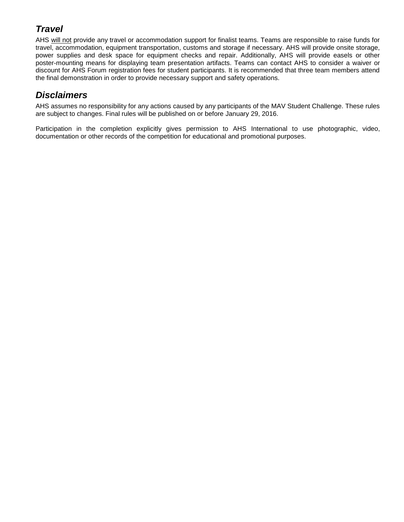### *Travel*

AHS will not provide any travel or accommodation support for finalist teams. Teams are responsible to raise funds for travel, accommodation, equipment transportation, customs and storage if necessary. AHS will provide onsite storage, power supplies and desk space for equipment checks and repair. Additionally, AHS will provide easels or other poster-mounting means for displaying team presentation artifacts. Teams can contact AHS to consider a waiver or discount for AHS Forum registration fees for student participants. It is recommended that three team members attend the final demonstration in order to provide necessary support and safety operations.

### *Disclaimers*

AHS assumes no responsibility for any actions caused by any participants of the MAV Student Challenge. These rules are subject to changes. Final rules will be published on or before January 29, 2016.

Participation in the completion explicitly gives permission to AHS International to use photographic, video, documentation or other records of the competition for educational and promotional purposes.